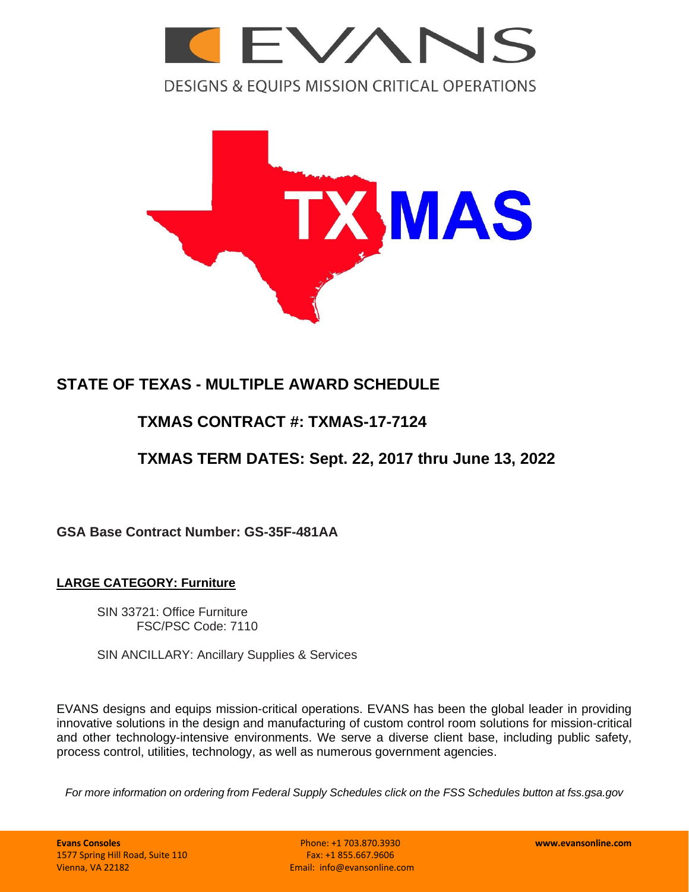

**DESIGNS & EQUIPS MISSION CRITICAL OPERATIONS** 



# **STATE OF TEXAS - MULTIPLE AWARD SCHEDULE**

# **TXMAS CONTRACT #: TXMAS-17-7124**

# **TXMAS TERM DATES: Sept. 22, 2017 thru June 13, 2022**

**GSA Base Contract Number: GS-35F-481AA**

# **LARGE CATEGORY: Furniture**

SIN 33721: Office Furniture FSC/PSC Code: 7110

SIN ANCILLARY: Ancillary Supplies & Services

EVANS designs and equips mission-critical operations. EVANS has been the global leader in providing innovative solutions in the design and manufacturing of custom control room solutions for mission-critical and other technology-intensive environments. We serve a diverse client base, including public safety, process control, utilities, technology, as well as numerous government agencies.

*For more information on ordering from Federal Supply Schedules click on the FSS Schedules button at fss.gsa.gov*